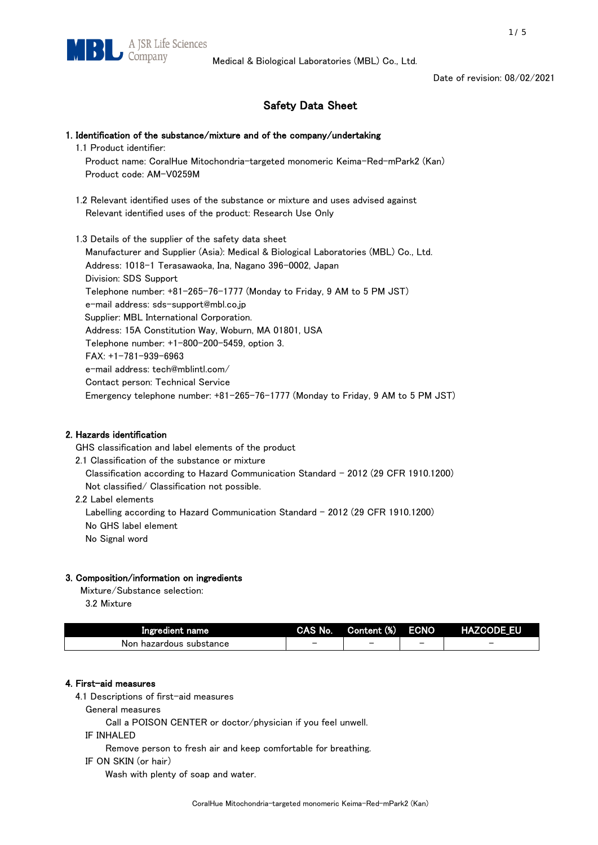Date of revision: 08/02/2021

# Safety Data Sheet

## 1. Identification of the substance/mixture and of the company/undertaking

1.1 Product identifier:

 Product name: CoralHue Mitochondria-targeted monomeric Keima-Red-mPark2 (Kan) Product code: AM-V0259M

 1.2 Relevant identified uses of the substance or mixture and uses advised against Relevant identified uses of the product: Research Use Only

 1.3 Details of the supplier of the safety data sheet Manufacturer and Supplier (Asia): Medical & Biological Laboratories (MBL) Co., Ltd. Address: 1018-1 Terasawaoka, Ina, Nagano 396-0002, Japan Division: SDS Support Telephone number: +81-265-76-1777 (Monday to Friday, 9 AM to 5 PM JST) e-mail address: sds-support@mbl.co.jp Supplier: MBL International Corporation. Address: 15A Constitution Way, Woburn, MA 01801, USA Telephone number: +1-800-200-5459, option 3. FAX: +1-781-939-6963 e-mail address: tech@mblintl.com/ Contact person: Technical Service Emergency telephone number: +81-265-76-1777 (Monday to Friday, 9 AM to 5 PM JST)

## 2. Hazards identification

GHS classification and label elements of the product

- 2.1 Classification of the substance or mixture Classification according to Hazard Communication Standard - 2012 (29 CFR 1910.1200) Not classified/ Classification not possible.
- 2.2 Label elements

Labelling according to Hazard Communication Standard - 2012 (29 CFR 1910.1200) No GHS label element No Signal word

# 3. Composition/information on ingredients

Mixture/Substance selection:

3.2 Mixture

| Ingredient name              | CAS No. | Content (%) | <b>ECNO</b> | <b>HAZCODE EU</b> |
|------------------------------|---------|-------------|-------------|-------------------|
| ⊦ hazardous substance<br>Non |         |             |             | -                 |

# 4. First-aid measures

4.1 Descriptions of first-aid measures

General measures

Call a POISON CENTER or doctor/physician if you feel unwell.

IF INHALED

Remove person to fresh air and keep comfortable for breathing.

IF ON SKIN (or hair)

Wash with plenty of soap and water.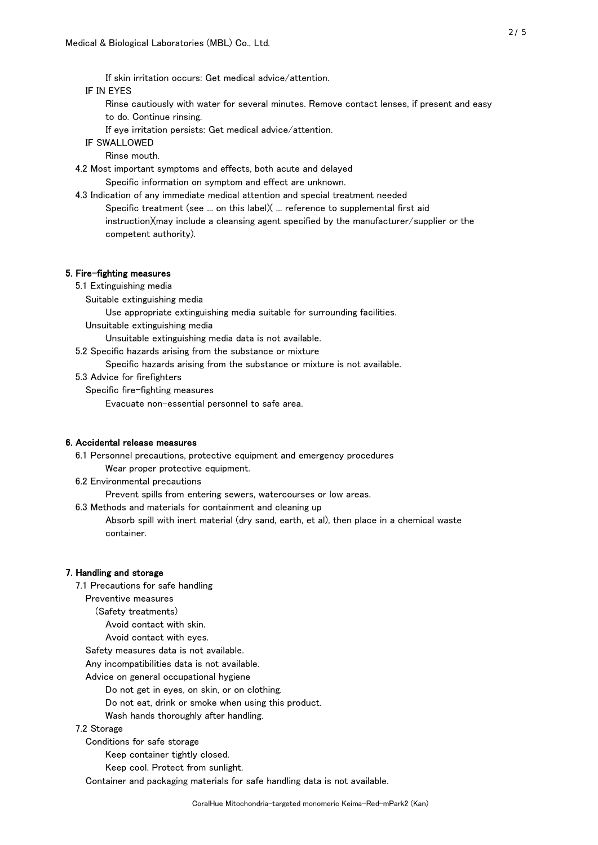If skin irritation occurs: Get medical advice/attention.

## IF IN EYES

- Rinse cautiously with water for several minutes. Remove contact lenses, if present and easy to do. Continue rinsing.
- If eye irritation persists: Get medical advice/attention.

IF SWALLOWED

Rinse mouth.

4.2 Most important symptoms and effects, both acute and delayed

Specific information on symptom and effect are unknown.

 4.3 Indication of any immediate medical attention and special treatment needed Specific treatment (see ... on this label)( ... reference to supplemental first aid instruction)(may include a cleansing agent specified by the manufacturer/supplier or the competent authority).

#### 5. Fire-fighting measures

- 5.1 Extinguishing media
	- Suitable extinguishing media

Use appropriate extinguishing media suitable for surrounding facilities.

Unsuitable extinguishing media

Unsuitable extinguishing media data is not available.

5.2 Specific hazards arising from the substance or mixture

Specific hazards arising from the substance or mixture is not available.

#### 5.3 Advice for firefighters

Specific fire-fighting measures

Evacuate non-essential personnel to safe area.

## 6. Accidental release measures

6.1 Personnel precautions, protective equipment and emergency procedures

- Wear proper protective equipment.
- 6.2 Environmental precautions

Prevent spills from entering sewers, watercourses or low areas.

6.3 Methods and materials for containment and cleaning up

 Absorb spill with inert material (dry sand, earth, et al), then place in a chemical waste container.

## 7. Handling and storage

7.1 Precautions for safe handling

Preventive measures

(Safety treatments)

Avoid contact with skin.

Avoid contact with eyes.

Safety measures data is not available.

Any incompatibilities data is not available.

Advice on general occupational hygiene

Do not get in eyes, on skin, or on clothing.

Do not eat, drink or smoke when using this product.

Wash hands thoroughly after handling.

## 7.2 Storage

Conditions for safe storage

Keep container tightly closed.

Keep cool. Protect from sunlight.

Container and packaging materials for safe handling data is not available.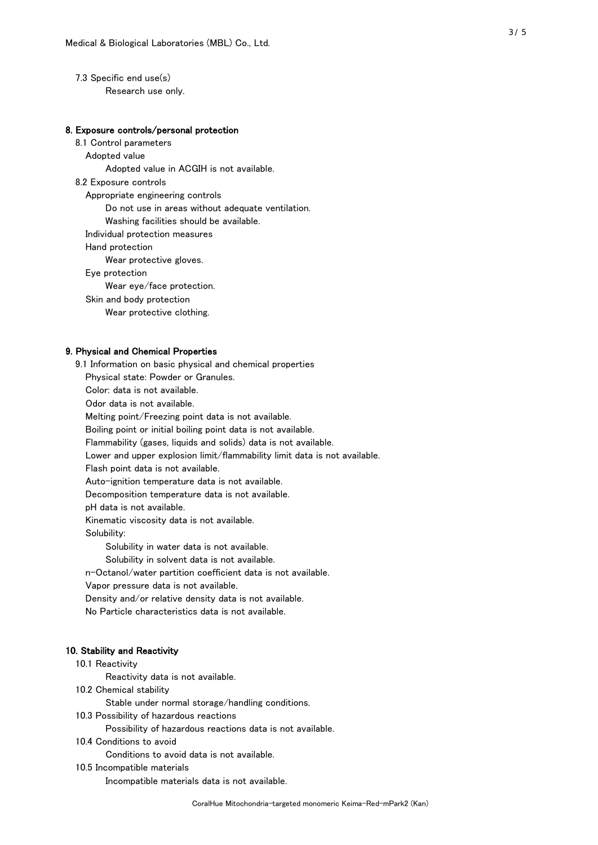7.3 Specific end use(s) Research use only.

## 8. Exposure controls/personal protection

 8.1 Control parameters Adopted value Adopted value in ACGIH is not available. 8.2 Exposure controls Appropriate engineering controls Do not use in areas without adequate ventilation. Washing facilities should be available. Individual protection measures Hand protection Wear protective gloves. Eye protection Wear eye/face protection. Skin and body protection Wear protective clothing.

## 9. Physical and Chemical Properties

 9.1 Information on basic physical and chemical properties Physical state: Powder or Granules. Color: data is not available. Odor data is not available. Melting point/Freezing point data is not available. Boiling point or initial boiling point data is not available. Flammability (gases, liquids and solids) data is not available. Lower and upper explosion limit/flammability limit data is not available. Flash point data is not available. Auto-ignition temperature data is not available. Decomposition temperature data is not available. pH data is not available. Kinematic viscosity data is not available. Solubility: Solubility in water data is not available. Solubility in solvent data is not available. n-Octanol/water partition coefficient data is not available. Vapor pressure data is not available. Density and/or relative density data is not available. No Particle characteristics data is not available.

## 10. Stability and Reactivity

#### 10.1 Reactivity

Reactivity data is not available.

10.2 Chemical stability

Stable under normal storage/handling conditions.

10.3 Possibility of hazardous reactions

Possibility of hazardous reactions data is not available.

10.4 Conditions to avoid

Conditions to avoid data is not available.

10.5 Incompatible materials

Incompatible materials data is not available.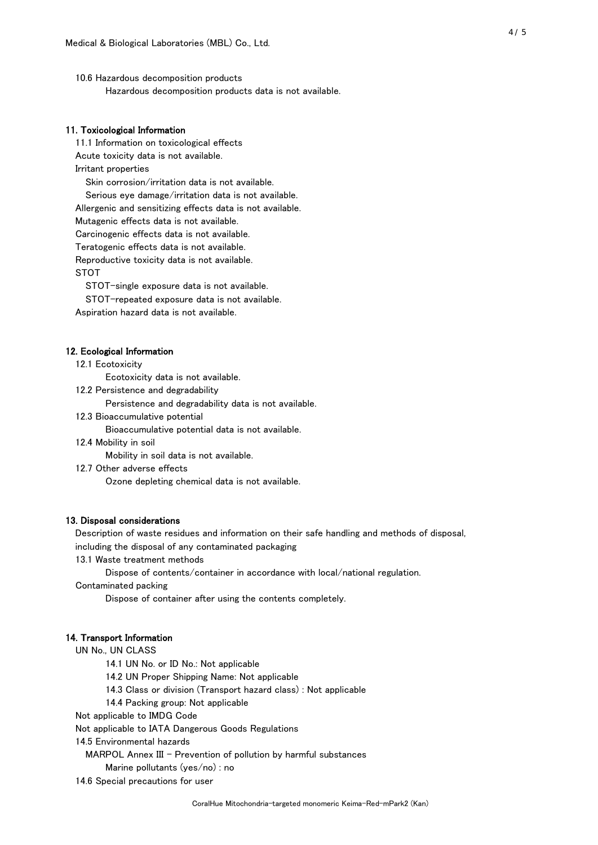10.6 Hazardous decomposition products Hazardous decomposition products data is not available.

## 11. Toxicological Information

 11.1 Information on toxicological effects Acute toxicity data is not available. Irritant properties Skin corrosion/irritation data is not available. Serious eye damage/irritation data is not available. Allergenic and sensitizing effects data is not available. Mutagenic effects data is not available.

Carcinogenic effects data is not available.

Teratogenic effects data is not available.

Reproductive toxicity data is not available.

STOT

STOT-single exposure data is not available.

STOT-repeated exposure data is not available.

Aspiration hazard data is not available.

## 12. Ecological Information

12.1 Ecotoxicity

Ecotoxicity data is not available.

12.2 Persistence and degradability

Persistence and degradability data is not available.

12.3 Bioaccumulative potential

Bioaccumulative potential data is not available.

12.4 Mobility in soil

Mobility in soil data is not available.

12.7 Other adverse effects

Ozone depleting chemical data is not available.

#### 13. Disposal considerations

Description of waste residues and information on their safe handling and methods of disposal,

including the disposal of any contaminated packaging

13.1 Waste treatment methods

Dispose of contents/container in accordance with local/national regulation.

Contaminated packing

Dispose of container after using the contents completely.

#### 14. Transport Information

UN No., UN CLASS

14.1 UN No. or ID No.: Not applicable

- 14.2 UN Proper Shipping Name: Not applicable
- 14.3 Class or division (Transport hazard class) : Not applicable

14.4 Packing group: Not applicable

Not applicable to IMDG Code

Not applicable to IATA Dangerous Goods Regulations

14.5 Environmental hazards

MARPOL Annex III - Prevention of pollution by harmful substances

Marine pollutants (yes/no) : no

14.6 Special precautions for user